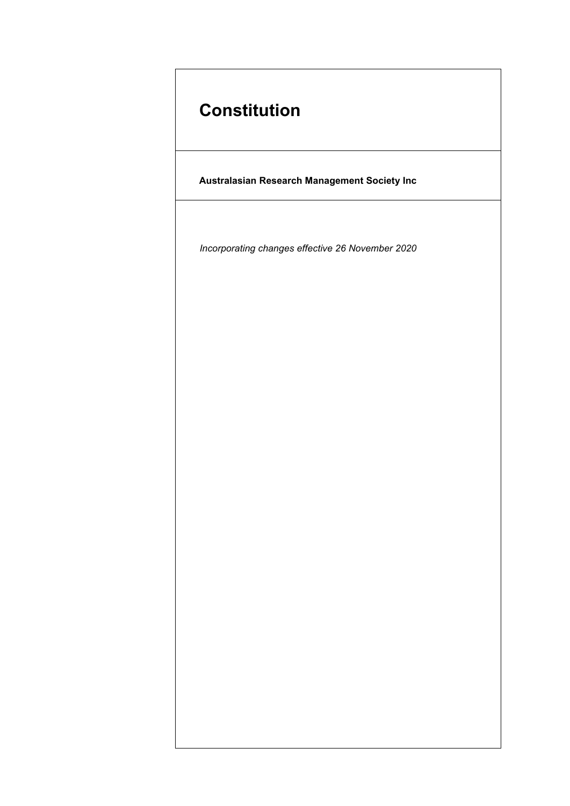# **Constitution**

**Australasian Research Management Society Inc**

*Incorporating changes effective 26 November 2020*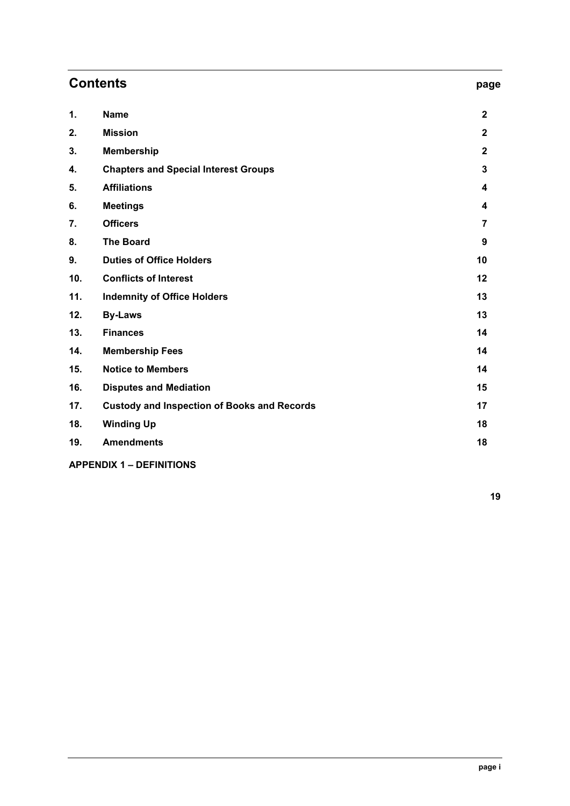| <b>Contents</b> |                                                    | page           |
|-----------------|----------------------------------------------------|----------------|
| 1.              | <b>Name</b>                                        | $\mathbf{2}$   |
| 2.              | <b>Mission</b>                                     | $\overline{2}$ |
| 3.              | <b>Membership</b>                                  | $\overline{2}$ |
| 4.              | <b>Chapters and Special Interest Groups</b>        | $\mathbf{3}$   |
| 5.              | <b>Affiliations</b>                                | 4              |
| 6.              | <b>Meetings</b>                                    | 4              |
| 7.              | <b>Officers</b>                                    | $\overline{7}$ |
| 8.              | <b>The Board</b>                                   | 9              |
| 9.              | <b>Duties of Office Holders</b>                    | 10             |
| 10.             | <b>Conflicts of Interest</b>                       | 12             |
| 11.             | <b>Indemnity of Office Holders</b>                 | 13             |
| 12.             | <b>By-Laws</b>                                     | 13             |
| 13.             | <b>Finances</b>                                    | 14             |
| 14.             | <b>Membership Fees</b>                             | 14             |
| 15.             | <b>Notice to Members</b>                           | 14             |
| 16.             | <b>Disputes and Mediation</b>                      | 15             |
| 17.             | <b>Custody and Inspection of Books and Records</b> | 17             |
| 18.             | <b>Winding Up</b>                                  | 18             |
| 19.             | <b>Amendments</b>                                  | 18             |

# **APPENDIX 1 – DEFINITIONS**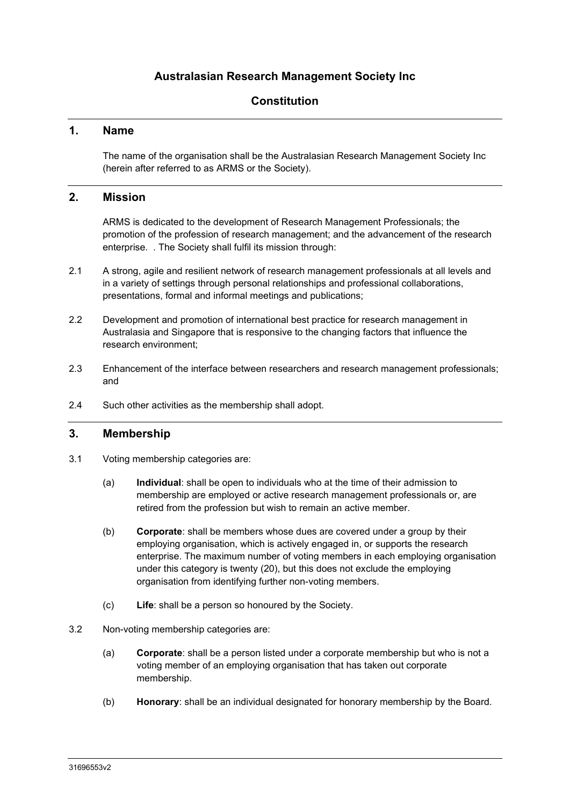# **Australasian Research Management Society Inc**

# **Constitution**

# **1. Name**

The name of the organisation shall be the Australasian Research Management Society Inc (herein after referred to as ARMS or the Society).

# **2. Mission**

ARMS is dedicated to the development of Research Management Professionals; the promotion of the profession of research management; and the advancement of the research enterprise. . The Society shall fulfil its mission through:

- 2.1 A strong, agile and resilient network of research management professionals at all levels and in a variety of settings through personal relationships and professional collaborations, presentations, formal and informal meetings and publications;
- 2.2 Development and promotion of international best practice for research management in Australasia and Singapore that is responsive to the changing factors that influence the research environment;
- 2.3 Enhancement of the interface between researchers and research management professionals; and
- 2.4 Such other activities as the membership shall adopt.

# **3. Membership**

- 3.1 Voting membership categories are:
	- (a) **Individual**: shall be open to individuals who at the time of their admission to membership are employed or active research management professionals or, are retired from the profession but wish to remain an active member.
	- (b) **Corporate**: shall be members whose dues are covered under a group by their employing organisation, which is actively engaged in, or supports the research enterprise. The maximum number of voting members in each employing organisation under this category is twenty (20), but this does not exclude the employing organisation from identifying further non-voting members.
	- (c) **Life**: shall be a person so honoured by the Society.
- 3.2 Non-voting membership categories are:
	- (a) **Corporate**: shall be a person listed under a corporate membership but who is not a voting member of an employing organisation that has taken out corporate membership.
	- (b) **Honorary**: shall be an individual designated for honorary membership by the Board.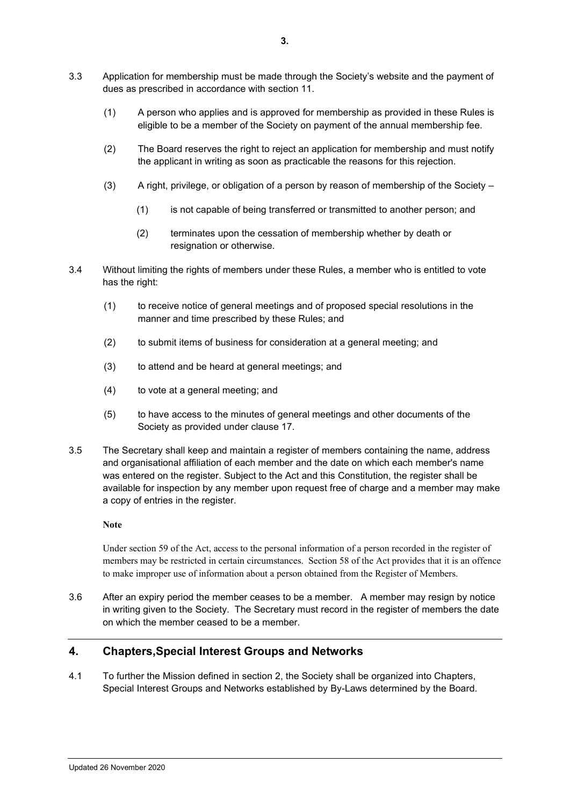- 3.3 Application for membership must be made through the Society's website and the payment of dues as prescribed in accordance with section 11.
	- (1) A person who applies and is approved for membership as provided in these Rules is eligible to be a member of the Society on payment of the annual membership fee.
	- (2) The Board reserves the right to reject an application for membership and must notify the applicant in writing as soon as practicable the reasons for this rejection.
	- (3) A right, privilege, or obligation of a person by reason of membership of the Society
		- (1) is not capable of being transferred or transmitted to another person; and
		- (2) terminates upon the cessation of membership whether by death or resignation or otherwise.
- 3.4 Without limiting the rights of members under these Rules, a member who is entitled to vote has the right:
	- (1) to receive notice of general meetings and of proposed special resolutions in the manner and time prescribed by these Rules; and
	- (2) to submit items of business for consideration at a general meeting; and
	- (3) to attend and be heard at general meetings; and
	- (4) to vote at a general meeting; and
	- (5) to have access to the minutes of general meetings and other documents of the Society as provided under clause [17.](#page-17-0)
- 3.5 The Secretary shall keep and maintain a register of members containing the name, address and organisational affiliation of each member and the date on which each member's name was entered on the register. Subject to the Act and this Constitution, the register shall be available for inspection by any member upon request free of charge and a member may make a copy of entries in the register.

**Note**

Under section 59 of the Act, access to the personal information of a person recorded in the register of members may be restricted in certain circumstances. Section 58 of the Act provides that it is an offence to make improper use of information about a person obtained from the Register of Members.

3.6 After an expiry period the member ceases to be a member. A member may resign by notice in writing given to the Society. The Secretary must record in the register of members the date on which the member ceased to be a member.

# **4. Chapters,Special Interest Groups and Networks**

4.1 To further the Mission defined in section 2, the Society shall be organized into Chapters, Special Interest Groups and Networks established by By-Laws determined by the Board.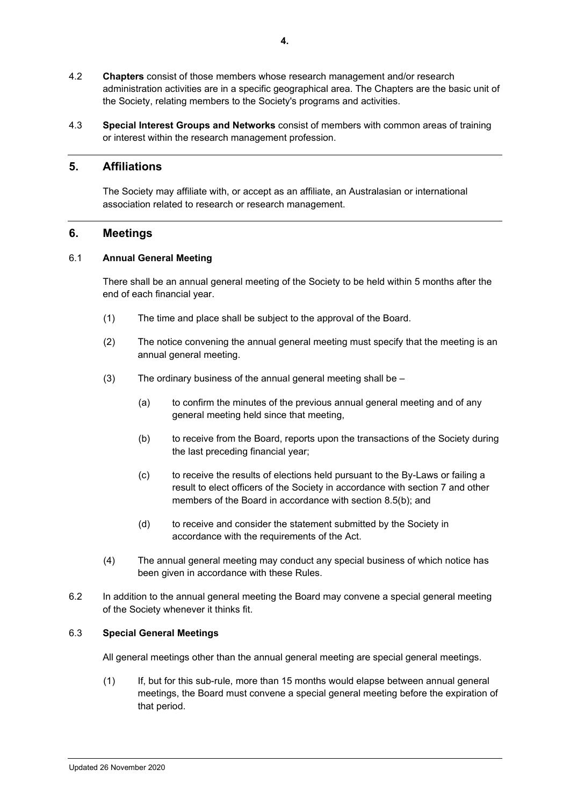- 4.2 **Chapters** consist of those members whose research management and/or research administration activities are in a specific geographical area. The Chapters are the basic unit of the Society, relating members to the Society's programs and activities.
- 4.3 **Special Interest Groups and Networks** consist of members with common areas of training or interest within the research management profession.

# **5. Affiliations**

The Society may affiliate with, or accept as an affiliate, an Australasian or international association related to research or research management.

## **6. Meetings**

#### 6.1 **Annual General Meeting**

There shall be an annual general meeting of the Society to be held within 5 months after the end of each financial year.

- (1) The time and place shall be subject to the approval of the Board.
- (2) The notice convening the annual general meeting must specify that the meeting is an annual general meeting.
- $(3)$  The ordinary business of the annual general meeting shall be
	- (a) to confirm the minutes of the previous annual general meeting and of any general meeting held since that meeting,
	- (b) to receive from the Board, reports upon the transactions of the Society during the last preceding financial year;
	- (c) to receive the results of elections held pursuant to the By-Laws or failing a result to elect officers of the Society in accordance with section 7 and other members of the Board in accordance with section [8.5\(b\);](#page-9-0) and
	- (d) to receive and consider the statement submitted by the Society in accordance with the requirements of the Act.
- (4) The annual general meeting may conduct any special business of which notice has been given in accordance with these Rules.
- 6.2 In addition to the annual general meeting the Board may convene a special general meeting of the Society whenever it thinks fit.

#### 6.3 **Special General Meetings**

All general meetings other than the annual general meeting are special general meetings.

(1) If, but for this sub-rule, more than 15 months would elapse between annual general meetings, the Board must convene a special general meeting before the expiration of that period.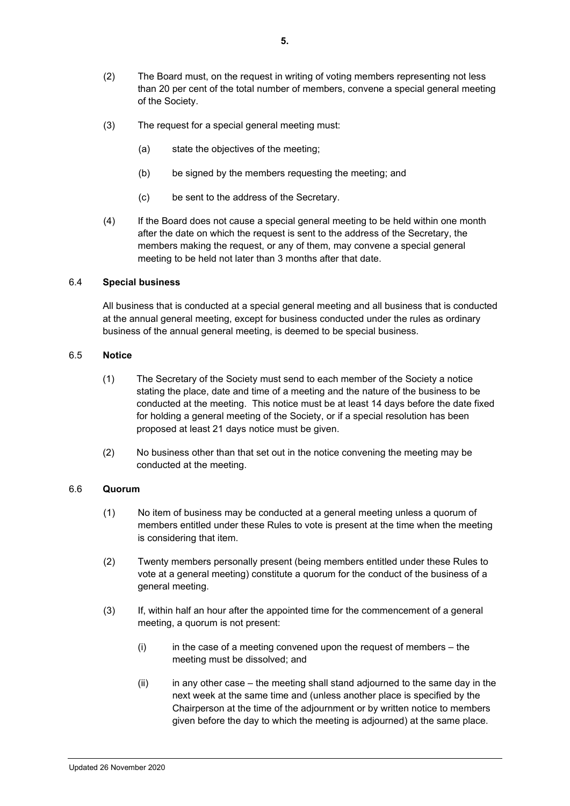- (2) The Board must, on the request in writing of voting members representing not less than 20 per cent of the total number of members, convene a special general meeting of the Society.
- (3) The request for a special general meeting must:
	- (a) state the objectives of the meeting;
	- (b) be signed by the members requesting the meeting; and
	- (c) be sent to the address of the Secretary.
- (4) If the Board does not cause a special general meeting to be held within one month after the date on which the request is sent to the address of the Secretary, the members making the request, or any of them, may convene a special general meeting to be held not later than 3 months after that date.

#### 6.4 **Special business**

All business that is conducted at a special general meeting and all business that is conducted at the annual general meeting, except for business conducted under the rules as ordinary business of the annual general meeting, is deemed to be special business.

#### <span id="page-5-0"></span>6.5 **Notice**

- (1) The Secretary of the Society must send to each member of the Society a notice stating the place, date and time of a meeting and the nature of the business to be conducted at the meeting. This notice must be at least 14 days before the date fixed for holding a general meeting of the Society, or if a special resolution has been proposed at least 21 days notice must be given.
- (2) No business other than that set out in the notice convening the meeting may be conducted at the meeting.

#### 6.6 **Quorum**

- (1) No item of business may be conducted at a general meeting unless a quorum of members entitled under these Rules to vote is present at the time when the meeting is considering that item.
- (2) Twenty members personally present (being members entitled under these Rules to vote at a general meeting) constitute a quorum for the conduct of the business of a general meeting.
- (3) If, within half an hour after the appointed time for the commencement of a general meeting, a quorum is not present:
	- $(i)$  in the case of a meeting convened upon the request of members the meeting must be dissolved; and
	- (ii) in any other case the meeting shall stand adjourned to the same day in the next week at the same time and (unless another place is specified by the Chairperson at the time of the adjournment or by written notice to members given before the day to which the meeting is adjourned) at the same place.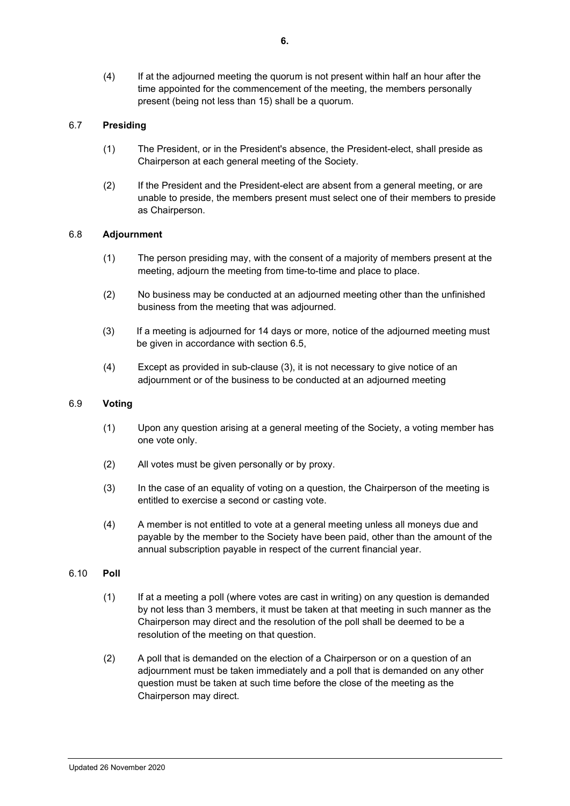(4) If at the adjourned meeting the quorum is not present within half an hour after the time appointed for the commencement of the meeting, the members personally present (being not less than 15) shall be a quorum.

# 6.7 **Presiding**

- (1) The President, or in the President's absence, the President-elect, shall preside as Chairperson at each general meeting of the Society.
- (2) If the President and the President-elect are absent from a general meeting, or are unable to preside, the members present must select one of their members to preside as Chairperson.

#### 6.8 **Adjournment**

- (1) The person presiding may, with the consent of a majority of members present at the meeting, adjourn the meeting from time-to-time and place to place.
- (2) No business may be conducted at an adjourned meeting other than the unfinished business from the meeting that was adjourned.
- (3) If a meeting is adjourned for 14 days or more, notice of the adjourned meeting must be given in accordance with section [6.5,](#page-5-0)
- (4) Except as provided in sub-clause (3), it is not necessary to give notice of an adjournment or of the business to be conducted at an adjourned meeting

# 6.9 **Voting**

- (1) Upon any question arising at a general meeting of the Society, a voting member has one vote only.
- (2) All votes must be given personally or by proxy.
- (3) In the case of an equality of voting on a question, the Chairperson of the meeting is entitled to exercise a second or casting vote.
- (4) A member is not entitled to vote at a general meeting unless all moneys due and payable by the member to the Society have been paid, other than the amount of the annual subscription payable in respect of the current financial year.

#### 6.10 **Poll**

- (1) If at a meeting a poll (where votes are cast in writing) on any question is demanded by not less than 3 members, it must be taken at that meeting in such manner as the Chairperson may direct and the resolution of the poll shall be deemed to be a resolution of the meeting on that question.
- (2) A poll that is demanded on the election of a Chairperson or on a question of an adjournment must be taken immediately and a poll that is demanded on any other question must be taken at such time before the close of the meeting as the Chairperson may direct.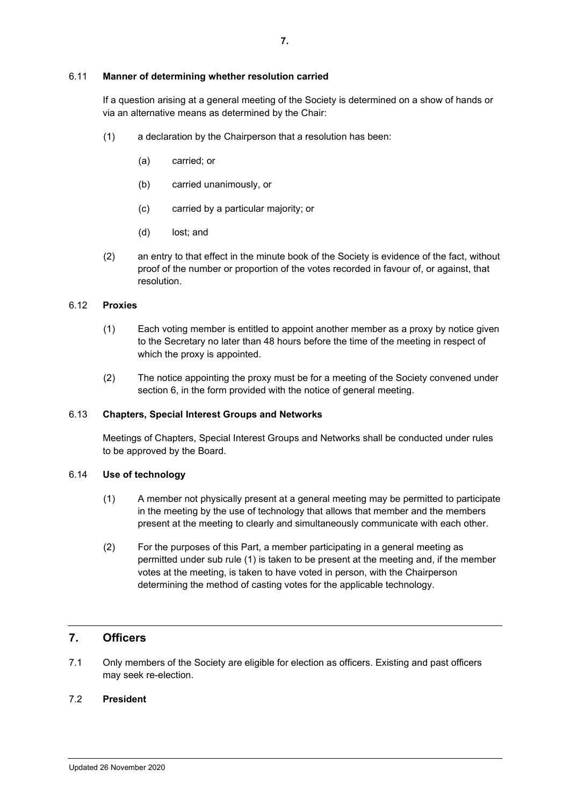#### 6.11 **Manner of determining whether resolution carried**

If a question arising at a general meeting of the Society is determined on a show of hands or via an alternative means as determined by the Chair:

- (1) a declaration by the Chairperson that a resolution has been:
	- (a) carried; or
	- (b) carried unanimously, or
	- (c) carried by a particular majority; or
	- (d) lost; and
- (2) an entry to that effect in the minute book of the Society is evidence of the fact, without proof of the number or proportion of the votes recorded in favour of, or against, that resolution.

#### 6.12 **Proxies**

- (1) Each voting member is entitled to appoint another member as a proxy by notice given to the Secretary no later than 48 hours before the time of the meeting in respect of which the proxy is appointed.
- (2) The notice appointing the proxy must be for a meeting of the Society convened under section 6, in the form provided with the notice of general meeting.

#### 6.13 **Chapters, Special Interest Groups and Networks**

Meetings of Chapters, Special Interest Groups and Networks shall be conducted under rules to be approved by the Board.

#### 6.14 **Use of technology**

- (1) A member not physically present at a general meeting may be permitted to participate in the meeting by the use of technology that allows that member and the members present at the meeting to clearly and simultaneously communicate with each other.
- (2) For the purposes of this Part, a member participating in a general meeting as permitted under sub rule (1) is taken to be present at the meeting and, if the member votes at the meeting, is taken to have voted in person, with the Chairperson determining the method of casting votes for the applicable technology.

# **7. Officers**

7.1 Only members of the Society are eligible for election as officers. Existing and past officers may seek re-election.

#### 7.2 **President**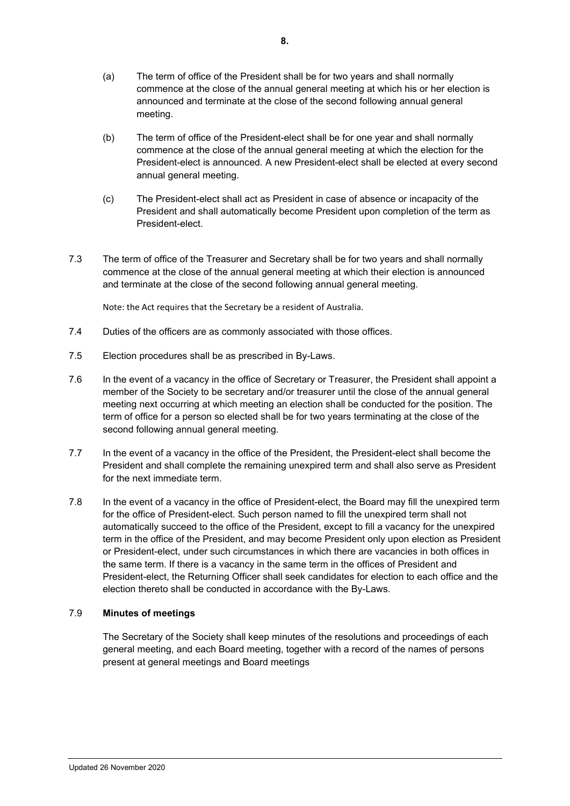- (a) The term of office of the President shall be for two years and shall normally commence at the close of the annual general meeting at which his or her election is announced and terminate at the close of the second following annual general meeting.
- (b) The term of office of the President-elect shall be for one year and shall normally commence at the close of the annual general meeting at which the election for the President-elect is announced. A new President-elect shall be elected at every second annual general meeting.
- (c) The President-elect shall act as President in case of absence or incapacity of the President and shall automatically become President upon completion of the term as President-elect.
- 7.3 The term of office of the Treasurer and Secretary shall be for two years and shall normally commence at the close of the annual general meeting at which their election is announced and terminate at the close of the second following annual general meeting.

Note: the Act requires that the Secretary be a resident of Australia.

- 7.4 Duties of the officers are as commonly associated with those offices.
- 7.5 Election procedures shall be as prescribed in By-Laws.
- 7.6 In the event of a vacancy in the office of Secretary or Treasurer, the President shall appoint a member of the Society to be secretary and/or treasurer until the close of the annual general meeting next occurring at which meeting an election shall be conducted for the position. The term of office for a person so elected shall be for two years terminating at the close of the second following annual general meeting.
- 7.7 In the event of a vacancy in the office of the President, the President-elect shall become the President and shall complete the remaining unexpired term and shall also serve as President for the next immediate term.
- 7.8 In the event of a vacancy in the office of President-elect, the Board may fill the unexpired term for the office of President-elect. Such person named to fill the unexpired term shall not automatically succeed to the office of the President, except to fill a vacancy for the unexpired term in the office of the President, and may become President only upon election as President or President-elect, under such circumstances in which there are vacancies in both offices in the same term. If there is a vacancy in the same term in the offices of President and President-elect, the Returning Officer shall seek candidates for election to each office and the election thereto shall be conducted in accordance with the By-Laws.

# 7.9 **Minutes of meetings**

The Secretary of the Society shall keep minutes of the resolutions and proceedings of each general meeting, and each Board meeting, together with a record of the names of persons present at general meetings and Board meetings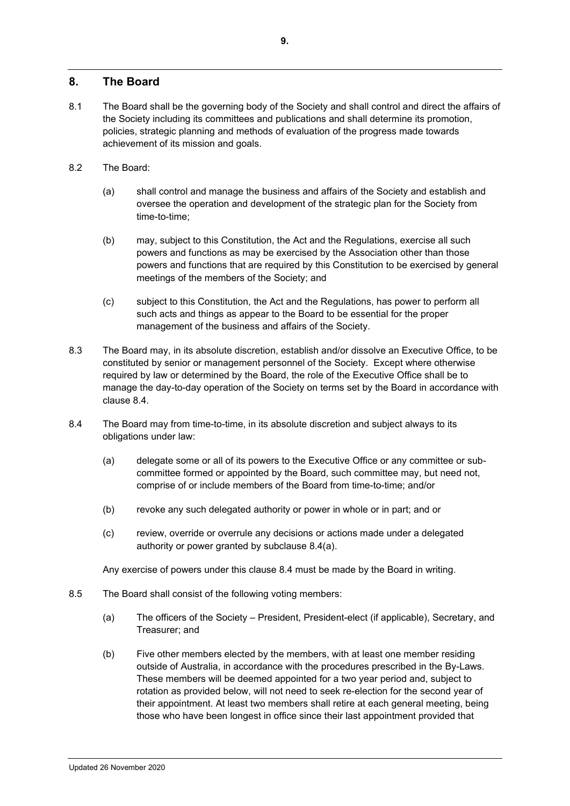# **8. The Board**

- 8.1 The Board shall be the governing body of the Society and shall control and direct the affairs of the Society including its committees and publications and shall determine its promotion, policies, strategic planning and methods of evaluation of the progress made towards achievement of its mission and goals.
- 8.2 The Board:
	- (a) shall control and manage the business and affairs of the Society and establish and oversee the operation and development of the strategic plan for the Society from time-to-time;
	- (b) may, subject to this Constitution, the Act and the Regulations, exercise all such powers and functions as may be exercised by the Association other than those powers and functions that are required by this Constitution to be exercised by general meetings of the members of the Society; and
	- (c) subject to this Constitution, the Act and the Regulations, has power to perform all such acts and things as appear to the Board to be essential for the proper management of the business and affairs of the Society.
- 8.3 The Board may, in its absolute discretion, establish and/or dissolve an Executive Office, to be constituted by senior or management personnel of the Society. Except where otherwise required by law or determined by the Board, the role of the Executive Office shall be to manage the day-to-day operation of the Society on terms set by the Board in accordance with clause [8.4.](#page-9-1)
- <span id="page-9-2"></span><span id="page-9-1"></span>8.4 The Board may from time-to-time, in its absolute discretion and subject always to its obligations under law:
	- (a) delegate some or all of its powers to the Executive Office or any committee or subcommittee formed or appointed by the Board, such committee may, but need not, comprise of or include members of the Board from time-to-time; and/or
	- (b) revoke any such delegated authority or power in whole or in part; and or
	- (c) review, override or overrule any decisions or actions made under a delegated authority or power granted by subclause [8.4\(a\).](#page-9-2)

Any exercise of powers under this clause [8.4](#page-9-1) must be made by the Board in writing.

- <span id="page-9-3"></span><span id="page-9-0"></span>8.5 The Board shall consist of the following voting members:
	- (a) The officers of the Society President, President-elect (if applicable), Secretary, and Treasurer; and
	- (b) Five other members elected by the members, with at least one member residing outside of Australia, in accordance with the procedures prescribed in the By-Laws. These members will be deemed appointed for a two year period and, subject to rotation as provided below, will not need to seek re-election for the second year of their appointment. At least two members shall retire at each general meeting, being those who have been longest in office since their last appointment provided that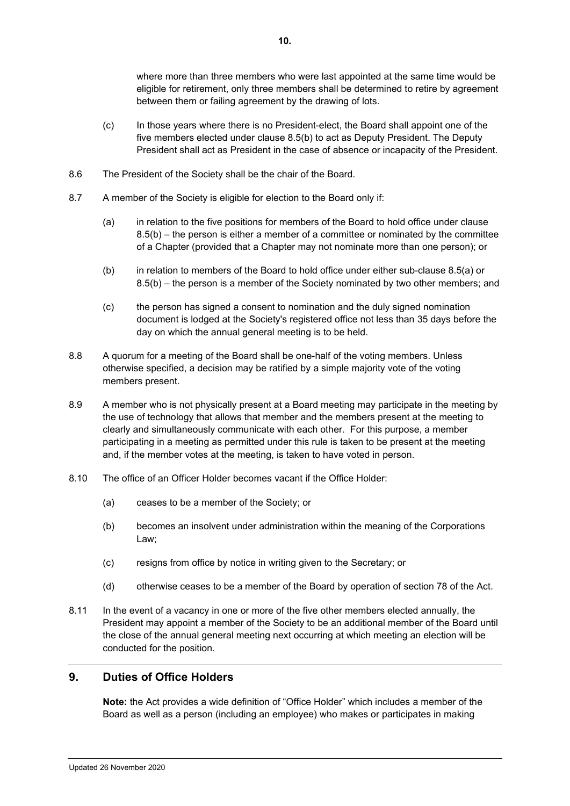where more than three members who were last appointed at the same time would be eligible for retirement, only three members shall be determined to retire by agreement between them or failing agreement by the drawing of lots.

- (c) In those years where there is no President-elect, the Board shall appoint one of the five members elected under clause [8.5\(b\)](#page-9-0) to act as Deputy President. The Deputy President shall act as President in the case of absence or incapacity of the President.
- 8.6 The President of the Society shall be the chair of the Board.
- 8.7 A member of the Society is eligible for election to the Board only if:
	- (a) in relation to the five positions for members of the Board to hold office under clause [8.5\(b\)](#page-9-0) – the person is either a member of a committee or nominated by the committee of a Chapter (provided that a Chapter may not nominate more than one person); or
	- (b) in relation to members of the Board to hold office under either sub-clause [8.5\(a\)](#page-9-3) or [8.5\(b\)](#page-9-0) – the person is a member of the Society nominated by two other members; and
	- (c) the person has signed a consent to nomination and the duly signed nomination document is lodged at the Society's registered office not less than 35 days before the day on which the annual general meeting is to be held.
- 8.8 A quorum for a meeting of the Board shall be one-half of the voting members. Unless otherwise specified, a decision may be ratified by a simple majority vote of the voting members present.
- 8.9 A member who is not physically present at a Board meeting may participate in the meeting by the use of technology that allows that member and the members present at the meeting to clearly and simultaneously communicate with each other. For this purpose, a member participating in a meeting as permitted under this rule is taken to be present at the meeting and, if the member votes at the meeting, is taken to have voted in person.
- 8.10 The office of an Officer Holder becomes vacant if the Office Holder:
	- (a) ceases to be a member of the Society; or
	- (b) becomes an insolvent under administration within the meaning of the Corporations Law;
	- (c) resigns from office by notice in writing given to the Secretary; or
	- (d) otherwise ceases to be a member of the Board by operation of section 78 of the Act.
- 8.11 In the event of a vacancy in one or more of the five other members elected annually, the President may appoint a member of the Society to be an additional member of the Board until the close of the annual general meeting next occurring at which meeting an election will be conducted for the position.

# **9. Duties of Office Holders**

**Note:** the Act provides a wide definition of "Office Holder" which includes a member of the Board as well as a person (including an employee) who makes or participates in making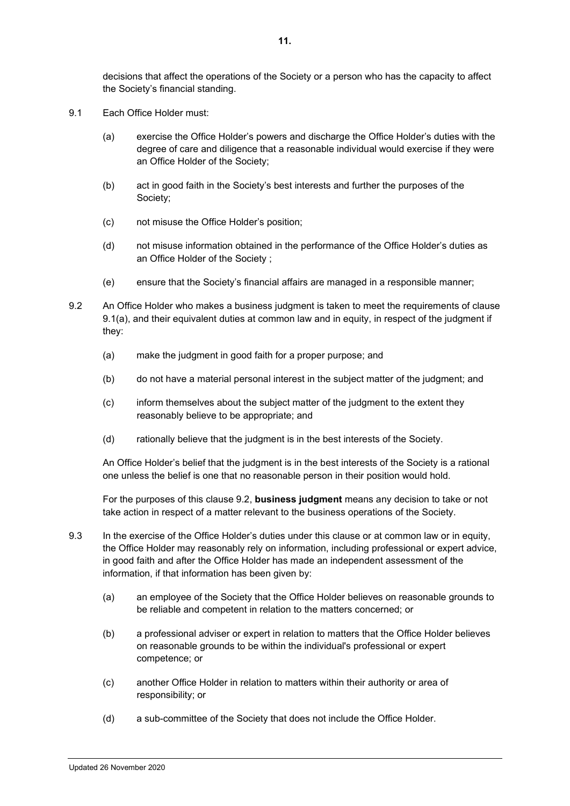decisions that affect the operations of the Society or a person who has the capacity to affect the Society's financial standing.

- <span id="page-11-0"></span>9.1 Each Office Holder must:
	- (a) exercise the Office Holder's powers and discharge the Office Holder's duties with the degree of care and diligence that a reasonable individual would exercise if they were an Office Holder of the Society;
	- (b) act in good faith in the Society's best interests and further the purposes of the Society;
	- (c) not misuse the Office Holder's position;
	- (d) not misuse information obtained in the performance of the Office Holder's duties as an Office Holder of the Society ;
	- (e) ensure that the Society's financial affairs are managed in a responsible manner;
- <span id="page-11-1"></span>9.2 An Office Holder who makes a business judgment is taken to meet the requirements of clause [9.1\(a\),](#page-11-0) and their equivalent duties at common law and in equity, in respect of the judgment if they:
	- (a) make the judgment in good faith for a proper purpose; and
	- (b) do not have a material personal interest in the subject matter of the judgment; and
	- (c) inform themselves about the subject matter of the judgment to the extent they reasonably believe to be appropriate; and
	- (d) rationally believe that the judgment is in the best interests of the Society.

An Office Holder's belief that the judgment is in the best interests of the Society is a rational one unless the belief is one that no reasonable person in their position would hold.

For the purposes of this clause [9.2,](#page-11-1) **business judgment** means any decision to take or not take action in respect of a matter relevant to the business operations of the Society.

- 9.3 In the exercise of the Office Holder's duties under this clause or at common law or in equity, the Office Holder may reasonably rely on information, including professional or expert advice, in good faith and after the Office Holder has made an independent assessment of the information, if that information has been given by:
	- (a) an employee of the Society that the Office Holder believes on reasonable grounds to be reliable and competent in relation to the matters concerned; or
	- (b) a professional adviser or expert in relation to matters that the Office Holder believes on reasonable grounds to be within the individual's professional or expert competence; or
	- (c) another Office Holder in relation to matters within their authority or area of responsibility; or
	- (d) a sub-committee of the Society that does not include the Office Holder.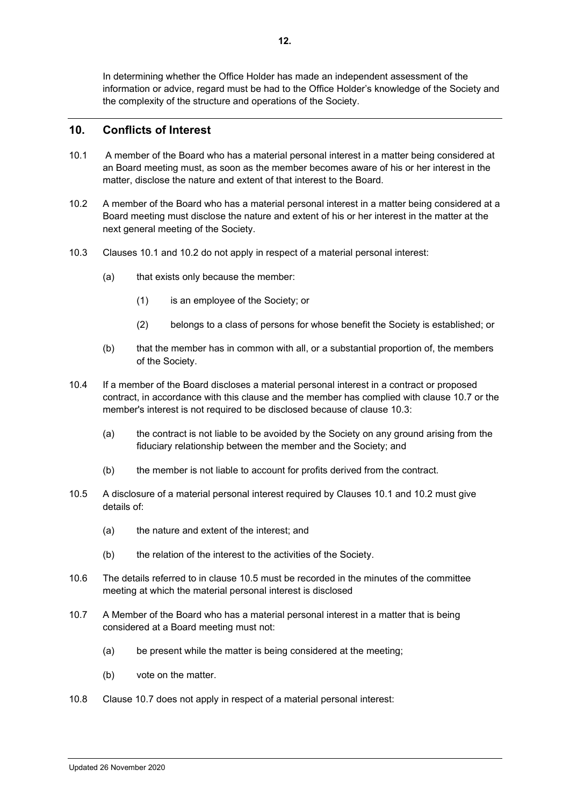In determining whether the Office Holder has made an independent assessment of the information or advice, regard must be had to the Office Holder's knowledge of the Society and the complexity of the structure and operations of the Society.

# **10. Conflicts of Interest**

- <span id="page-12-0"></span>10.1 A member of the Board who has a material personal interest in a matter being considered at an Board meeting must, as soon as the member becomes aware of his or her interest in the matter, disclose the nature and extent of that interest to the Board.
- <span id="page-12-1"></span>10.2 A member of the Board who has a material personal interest in a matter being considered at a Board meeting must disclose the nature and extent of his or her interest in the matter at the next general meeting of the Society.
- <span id="page-12-3"></span>10.3 Clauses [10.1](#page-12-0) and [10.2](#page-12-1) do not apply in respect of a material personal interest:
	- (a) that exists only because the member:
		- (1) is an employee of the Society; or
		- (2) belongs to a class of persons for whose benefit the Society is established; or
	- (b) that the member has in common with all, or a substantial proportion of, the members of the Society.
- 10.4 If a member of the Board discloses a material personal interest in a contract or proposed contract, in accordance with this clause and the member has complied with clause [10.7](#page-12-2) or the member's interest is not required to be disclosed because of clause [10.3:](#page-12-3)
	- (a) the contract is not liable to be avoided by the Society on any ground arising from the fiduciary relationship between the member and the Society; and
	- (b) the member is not liable to account for profits derived from the contract.
- <span id="page-12-4"></span>10.5 A disclosure of a material personal interest required by Clauses [10.1](#page-12-0) and [10.2](#page-12-1) must give details of:
	- (a) the nature and extent of the interest; and
	- (b) the relation of the interest to the activities of the Society.
- 10.6 The details referred to in clause [10.5](#page-12-4) must be recorded in the minutes of the committee meeting at which the material personal interest is disclosed
- <span id="page-12-2"></span>10.7 A Member of the Board who has a material personal interest in a matter that is being considered at a Board meeting must not:
	- (a) be present while the matter is being considered at the meeting;
	- (b) vote on the matter.
- 10.8 Clause [10.7](#page-12-2) does not apply in respect of a material personal interest: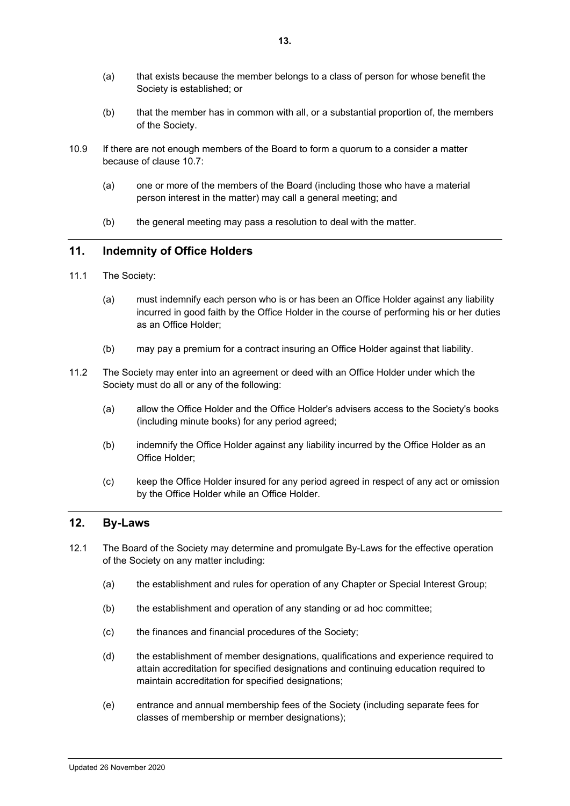- (a) that exists because the member belongs to a class of person for whose benefit the Society is established; or
- (b) that the member has in common with all, or a substantial proportion of, the members of the Society.
- 10.9 If there are not enough members of the Board to form a quorum to a consider a matter because of clause [10.7:](#page-12-2)
	- (a) one or more of the members of the Board (including those who have a material person interest in the matter) may call a general meeting; and
	- (b) the general meeting may pass a resolution to deal with the matter.

# **11. Indemnity of Office Holders**

- 11.1 The Society:
	- (a) must indemnify each person who is or has been an Office Holder against any liability incurred in good faith by the Office Holder in the course of performing his or her duties as an Office Holder;
	- (b) may pay a premium for a contract insuring an Office Holder against that liability.
- 11.2 The Society may enter into an agreement or deed with an Office Holder under which the Society must do all or any of the following:
	- (a) allow the Office Holder and the Office Holder's advisers access to the Society's books (including minute books) for any period agreed;
	- (b) indemnify the Office Holder against any liability incurred by the Office Holder as an Office Holder;
	- (c) keep the Office Holder insured for any period agreed in respect of any act or omission by the Office Holder while an Office Holder.

# **12. By-Laws**

- 12.1 The Board of the Society may determine and promulgate By-Laws for the effective operation of the Society on any matter including:
	- (a) the establishment and rules for operation of any Chapter or Special Interest Group;
	- (b) the establishment and operation of any standing or ad hoc committee;
	- (c) the finances and financial procedures of the Society;
	- (d) the establishment of member designations, qualifications and experience required to attain accreditation for specified designations and continuing education required to maintain accreditation for specified designations;
	- (e) entrance and annual membership fees of the Society (including separate fees for classes of membership or member designations);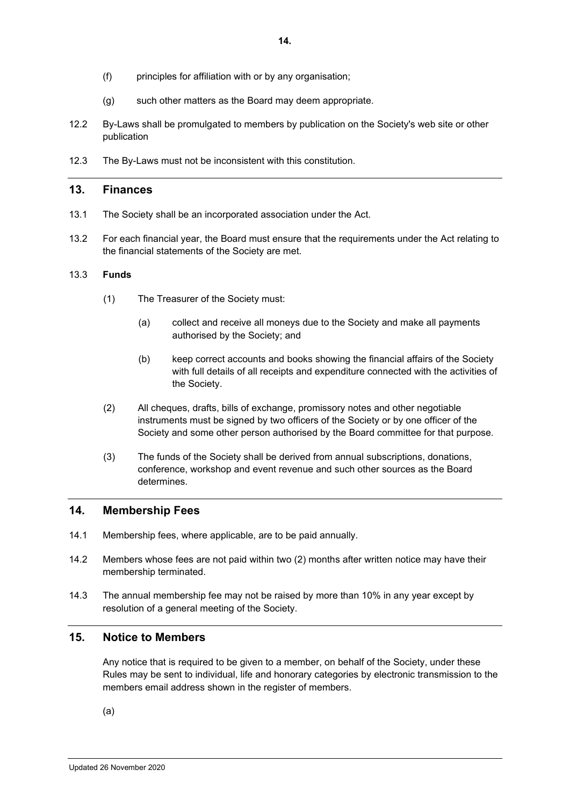- (f) principles for affiliation with or by any organisation;
- (g) such other matters as the Board may deem appropriate.
- 12.2 By-Laws shall be promulgated to members by publication on the Society's web site or other publication
- 12.3 The By-Laws must not be inconsistent with this constitution.

# **13. Finances**

- 13.1 The Society shall be an incorporated association under the Act.
- 13.2 For each financial year, the Board must ensure that the requirements under the Act relating to the financial statements of the Society are met.

#### 13.3 **Funds**

- (1) The Treasurer of the Society must:
	- (a) collect and receive all moneys due to the Society and make all payments authorised by the Society; and
	- (b) keep correct accounts and books showing the financial affairs of the Society with full details of all receipts and expenditure connected with the activities of the Society.
- (2) All cheques, drafts, bills of exchange, promissory notes and other negotiable instruments must be signed by two officers of the Society or by one officer of the Society and some other person authorised by the Board committee for that purpose.
- (3) The funds of the Society shall be derived from annual subscriptions, donations, conference, workshop and event revenue and such other sources as the Board determines.

## **14. Membership Fees**

- 14.1 Membership fees, where applicable, are to be paid annually.
- 14.2 Members whose fees are not paid within two (2) months after written notice may have their membership terminated.
- 14.3 The annual membership fee may not be raised by more than 10% in any year except by resolution of a general meeting of the Society.

# **15. Notice to Members**

Any notice that is required to be given to a member, on behalf of the Society, under these Rules may be sent to individual, life and honorary categories by electronic transmission to the members email address shown in the register of members.

(a)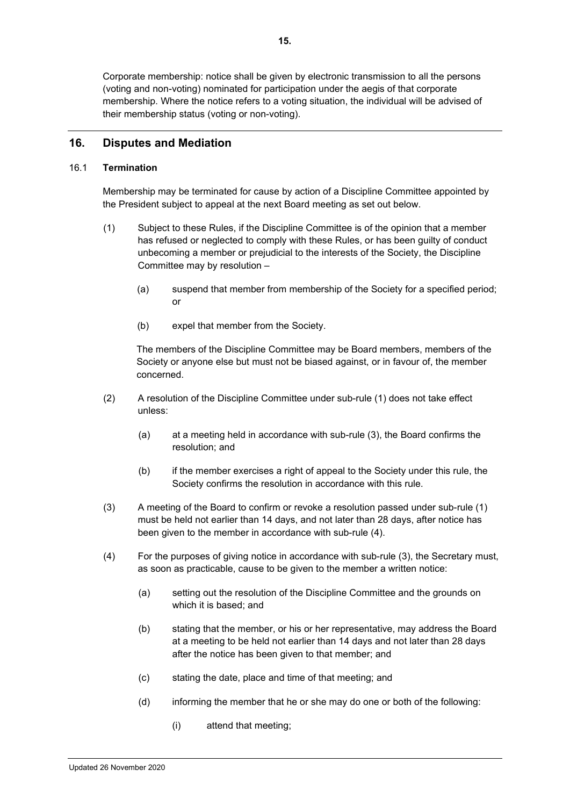Corporate membership: notice shall be given by electronic transmission to all the persons (voting and non-voting) nominated for participation under the aegis of that corporate membership. Where the notice refers to a voting situation, the individual will be advised of their membership status (voting or non-voting).

# **16. Disputes and Mediation**

#### 16.1 **Termination**

Membership may be terminated for cause by action of a Discipline Committee appointed by the President subject to appeal at the next Board meeting as set out below.

- (1) Subject to these Rules, if the Discipline Committee is of the opinion that a member has refused or neglected to comply with these Rules, or has been guilty of conduct unbecoming a member or prejudicial to the interests of the Society, the Discipline Committee may by resolution –
	- (a) suspend that member from membership of the Society for a specified period; or
	- (b) expel that member from the Society.

The members of the Discipline Committee may be Board members, members of the Society or anyone else but must not be biased against, or in favour of, the member concerned.

- (2) A resolution of the Discipline Committee under sub-rule (1) does not take effect unless:
	- (a) at a meeting held in accordance with sub-rule (3), the Board confirms the resolution; and
	- (b) if the member exercises a right of appeal to the Society under this rule, the Society confirms the resolution in accordance with this rule.
- (3) A meeting of the Board to confirm or revoke a resolution passed under sub-rule (1) must be held not earlier than 14 days, and not later than 28 days, after notice has been given to the member in accordance with sub-rule (4).
- (4) For the purposes of giving notice in accordance with sub-rule (3), the Secretary must, as soon as practicable, cause to be given to the member a written notice:
	- (a) setting out the resolution of the Discipline Committee and the grounds on which it is based; and
	- (b) stating that the member, or his or her representative, may address the Board at a meeting to be held not earlier than 14 days and not later than 28 days after the notice has been given to that member; and
	- (c) stating the date, place and time of that meeting; and
	- (d) informing the member that he or she may do one or both of the following:
		- (i) attend that meeting;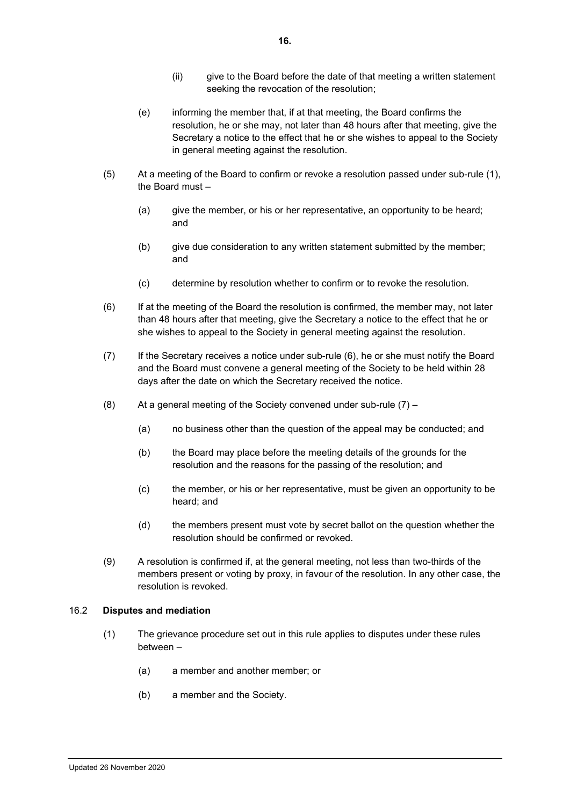- (e) informing the member that, if at that meeting, the Board confirms the resolution, he or she may, not later than 48 hours after that meeting, give the Secretary a notice to the effect that he or she wishes to appeal to the Society in general meeting against the resolution.
- (5) At a meeting of the Board to confirm or revoke a resolution passed under sub-rule (1), the Board must –
	- (a) give the member, or his or her representative, an opportunity to be heard; and
	- (b) give due consideration to any written statement submitted by the member; and
	- (c) determine by resolution whether to confirm or to revoke the resolution.
- (6) If at the meeting of the Board the resolution is confirmed, the member may, not later than 48 hours after that meeting, give the Secretary a notice to the effect that he or she wishes to appeal to the Society in general meeting against the resolution.
- (7) If the Secretary receives a notice under sub-rule (6), he or she must notify the Board and the Board must convene a general meeting of the Society to be held within 28 days after the date on which the Secretary received the notice.
- (8) At a general meeting of the Society convened under sub-rule (7)
	- (a) no business other than the question of the appeal may be conducted; and
	- (b) the Board may place before the meeting details of the grounds for the resolution and the reasons for the passing of the resolution; and
	- (c) the member, or his or her representative, must be given an opportunity to be heard; and
	- (d) the members present must vote by secret ballot on the question whether the resolution should be confirmed or revoked.
- (9) A resolution is confirmed if, at the general meeting, not less than two-thirds of the members present or voting by proxy, in favour of the resolution. In any other case, the resolution is revoked.

## 16.2 **Disputes and mediation**

- (1) The grievance procedure set out in this rule applies to disputes under these rules between –
	- (a) a member and another member; or
	- (b) a member and the Society.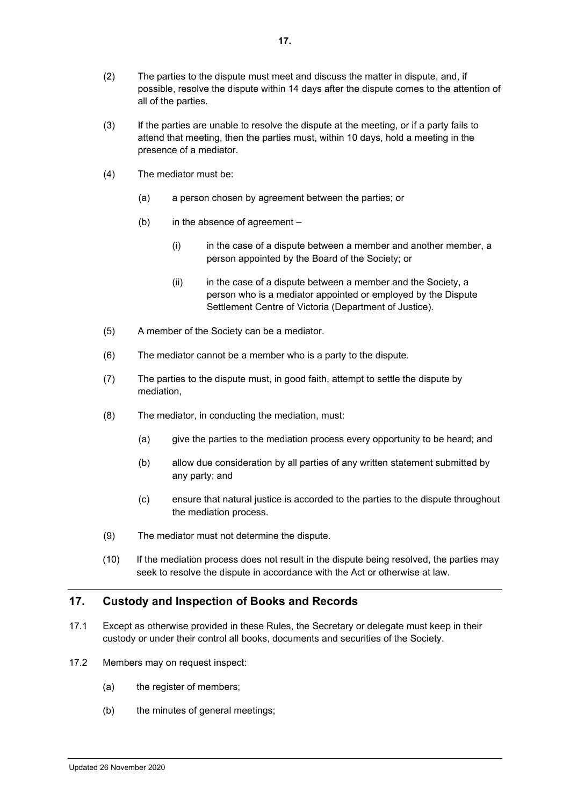- (2) The parties to the dispute must meet and discuss the matter in dispute, and, if possible, resolve the dispute within 14 days after the dispute comes to the attention of all of the parties.
- (3) If the parties are unable to resolve the dispute at the meeting, or if a party fails to attend that meeting, then the parties must, within 10 days, hold a meeting in the presence of a mediator.
- (4) The mediator must be:
	- (a) a person chosen by agreement between the parties; or
	- (b) in the absence of agreement
		- (i) in the case of a dispute between a member and another member, a person appointed by the Board of the Society; or
		- $(ii)$  in the case of a dispute between a member and the Society, a person who is a mediator appointed or employed by the Dispute Settlement Centre of Victoria (Department of Justice).
- (5) A member of the Society can be a mediator.
- (6) The mediator cannot be a member who is a party to the dispute.
- (7) The parties to the dispute must, in good faith, attempt to settle the dispute by mediation,
- (8) The mediator, in conducting the mediation, must:
	- (a) give the parties to the mediation process every opportunity to be heard; and
	- (b) allow due consideration by all parties of any written statement submitted by any party; and
	- (c) ensure that natural justice is accorded to the parties to the dispute throughout the mediation process.
- (9) The mediator must not determine the dispute.
- (10) If the mediation process does not result in the dispute being resolved, the parties may seek to resolve the dispute in accordance with the Act or otherwise at law.

# <span id="page-17-0"></span>**17. Custody and Inspection of Books and Records**

- 17.1 Except as otherwise provided in these Rules, the Secretary or delegate must keep in their custody or under their control all books, documents and securities of the Society.
- 17.2 Members may on request inspect:
	- (a) the register of members;
	- (b) the minutes of general meetings;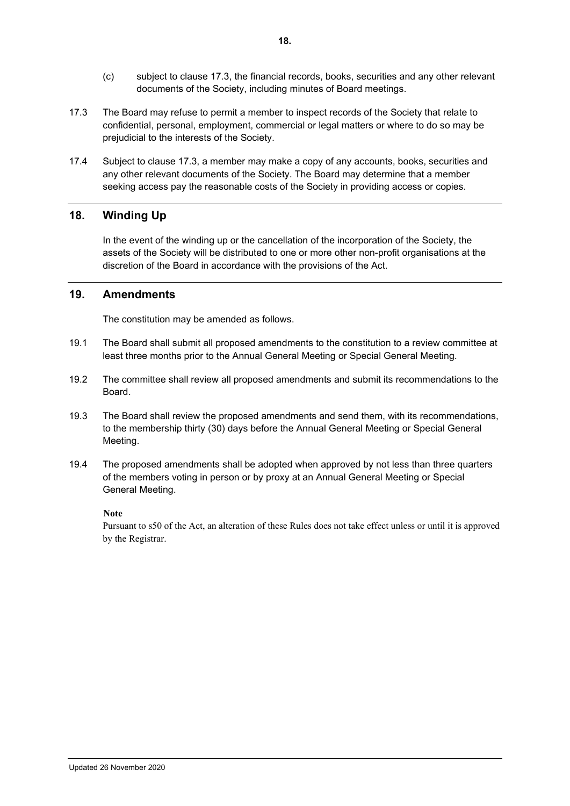- (c) subject to clause [17.3,](#page-18-0) the financial records, books, securities and any other relevant documents of the Society, including minutes of Board meetings.
- <span id="page-18-0"></span>17.3 The Board may refuse to permit a member to inspect records of the Society that relate to confidential, personal, employment, commercial or legal matters or where to do so may be prejudicial to the interests of the Society.
- 17.4 Subject to clause [17.3,](#page-18-0) a member may make a copy of any accounts, books, securities and any other relevant documents of the Society. The Board may determine that a member seeking access pay the reasonable costs of the Society in providing access or copies.

# **18. Winding Up**

In the event of the winding up or the cancellation of the incorporation of the Society, the assets of the Society will be distributed to one or more other non-profit organisations at the discretion of the Board in accordance with the provisions of the Act.

# **19. Amendments**

The constitution may be amended as follows.

- 19.1 The Board shall submit all proposed amendments to the constitution to a review committee at least three months prior to the Annual General Meeting or Special General Meeting.
- 19.2 The committee shall review all proposed amendments and submit its recommendations to the Board.
- 19.3 The Board shall review the proposed amendments and send them, with its recommendations, to the membership thirty (30) days before the Annual General Meeting or Special General Meeting.
- 19.4 The proposed amendments shall be adopted when approved by not less than three quarters of the members voting in person or by proxy at an Annual General Meeting or Special General Meeting.

## **Note**

Pursuant to s50 of the Act, an alteration of these Rules does not take effect unless or until it is approved by the Registrar.